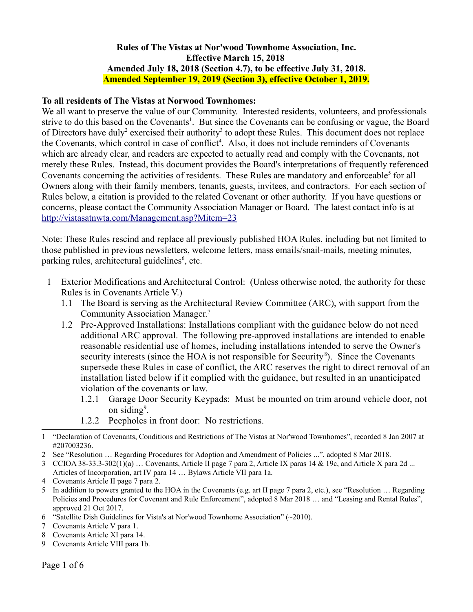## **Rules of The Vistas at Nor'wood Townhome Association, Inc. Effective March 15, 2018 Amended July 18, 2018 (Section 4.7), to be effective July 31, 2018. Amended September 19, 2019 (Section 3), effective October 1, 2019.**

## **To all residents of The Vistas at Norwood Townhomes:**

We all want to preserve the value of our Community. Interested residents, volunteers, and professionals strive to do this based on the Covenants<sup>[1](#page-0-0)</sup>. But since the Covenants can be confusing or vague, the Board of Directors have duly<sup>[2](#page-0-1)</sup> exercised their authority<sup>[3](#page-0-2)</sup> to adopt these Rules. This document does not replace the Covenants, which control in case of conflict<sup>[4](#page-0-3)</sup>. Also, it does not include reminders of Covenants which are already clear, and readers are expected to actually read and comply with the Covenants, not merely these Rules. Instead, this document provides the Board's interpretations of frequently referenced Covenants concerning the activities of residents. These Rules are mandatory and enforceable<sup>[5](#page-0-4)</sup> for all Owners along with their family members, tenants, guests, invitees, and contractors. For each section of Rules below, a citation is provided to the related Covenant or other authority. If you have questions or concerns, please contact the Community Association Manager or Board. The latest contact info is at <http://vistasatnwta.com/Management.asp?Mitem=23>

Note: These Rules rescind and replace all previously published HOA Rules, including but not limited to those published in previous newsletters, welcome letters, mass emails/snail-mails, meeting minutes, parking rules, architectural guidelines<sup>[6](#page-0-5)</sup>, etc.

- 1 Exterior Modifications and Architectural Control: (Unless otherwise noted, the authority for these Rules is in Covenants Article V.)
	- 1.1 The Board is serving as the Architectural Review Committee (ARC), with support from the Community Association Manager.[7](#page-0-6)
	- 1.2 Pre-Approved Installations: Installations compliant with the guidance below do not need additional ARC approval. The following pre-approved installations are intended to enable reasonable residential use of homes, including installations intended to serve the Owner's security interests (since the HOA is not responsible for Security<sup>[8](#page-0-7)</sup>). Since the Covenants supersede these Rules in case of conflict, the ARC reserves the right to direct removal of an installation listed below if it complied with the guidance, but resulted in an unanticipated violation of the covenants or law.
		- 1.2.1 Garage Door Security Keypads: Must be mounted on trim around vehicle door, not on siding<sup>[9](#page-0-8)</sup>.
		- 1.2.2 Peepholes in front door: No restrictions.

- <span id="page-0-1"></span>2 See "Resolution … Regarding Procedures for Adoption and Amendment of Policies ...", adopted 8 Mar 2018.
- <span id="page-0-2"></span>3 CCIOA 38-33.3-302(1)(a) … Covenants, Article II page 7 para 2, Article IX paras 14 & 19c, and Article X para 2d ... Articles of Incorporation, art IV para 14 … Bylaws Article VII para 1a.
- <span id="page-0-3"></span>4 Covenants Article II page 7 para 2.
- <span id="page-0-4"></span>5 In addition to powers granted to the HOA in the Covenants (e.g. art II page 7 para 2, etc.), see "Resolution … Regarding Policies and Procedures for Covenant and Rule Enforcement", adopted 8 Mar 2018 … and "Leasing and Rental Rules", approved 21 Oct 2017.
- <span id="page-0-5"></span>6 "Satellite Dish Guidelines for Vista's at Nor'wood Townhome Association" (~2010).
- <span id="page-0-6"></span>7 Covenants Article V para 1.
- <span id="page-0-7"></span>8 Covenants Article XI para 14.
- <span id="page-0-8"></span>9 Covenants Article VIII para 1b.

<span id="page-0-0"></span><sup>1</sup> "Declaration of Covenants, Conditions and Restrictions of The Vistas at Nor'wood Townhomes", recorded 8 Jan 2007 at #207003236.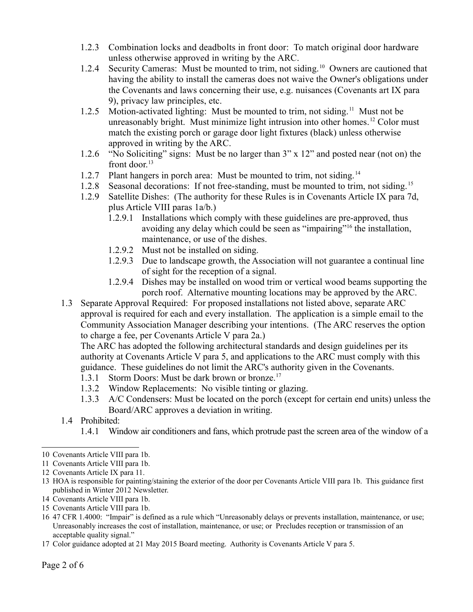- 1.2.3 Combination locks and deadbolts in front door: To match original door hardware unless otherwise approved in writing by the ARC.
- 1.2.4 Security Cameras: Must be mounted to trim, not siding.<sup>[10](#page-1-0)</sup> Owners are cautioned that having the ability to install the cameras does not waive the Owner's obligations under the Covenants and laws concerning their use, e.g. nuisances (Covenants art IX para 9), privacy law principles, etc.
- 1.2.5 Motion-activated lighting: Must be mounted to trim, not siding.<sup>[11](#page-1-1)</sup> Must not be unreasonably bright. Must minimize light intrusion into other homes.<sup>[12](#page-1-2)</sup> Color must match the existing porch or garage door light fixtures (black) unless otherwise approved in writing by the ARC.
- 1.2.6 "No Soliciting" signs: Must be no larger than 3" x 12" and posted near (not on) the front door. $13$
- 1.2.7 Plant hangers in porch area: Must be mounted to trim, not siding.<sup>[14](#page-1-4)</sup>
- 1.2.8 Seasonal decorations: If not free-standing, must be mounted to trim, not siding.<sup>[15](#page-1-5)</sup>
- 1.2.9 Satellite Dishes: (The authority for these Rules is in Covenants Article IX para 7d, plus Article VIII paras 1a/b.)
	- 1.2.9.1 Installations which comply with these guidelines are pre-approved, thus avoiding any delay which could be seen as "impairing"[16](#page-1-6) the installation, maintenance, or use of the dishes.
	- 1.2.9.2 Must not be installed on siding.
	- 1.2.9.3 Due to landscape growth, the Association will not guarantee a continual line of sight for the reception of a signal.
	- 1.2.9.4 Dishes may be installed on wood trim or vertical wood beams supporting the porch roof. Alternative mounting locations may be approved by the ARC.
- 1.3 Separate Approval Required: For proposed installations not listed above, separate ARC approval is required for each and every installation. The application is a simple email to the Community Association Manager describing your intentions. (The ARC reserves the option to charge a fee, per Covenants Article V para 2a.)

The ARC has adopted the following architectural standards and design guidelines per its authority at Covenants Article V para 5, and applications to the ARC must comply with this guidance. These guidelines do not limit the ARC's authority given in the Covenants.

- 1.3.1 Storm Doors: Must be dark brown or bronze.<sup>[17](#page-1-7)</sup>
- 1.3.2 Window Replacements: No visible tinting or glazing.
- 1.3.3 A/C Condensers: Must be located on the porch (except for certain end units) unless the Board/ARC approves a deviation in writing.
- 1.4 Prohibited:
	- 1.4.1 Window air conditioners and fans, which protrude past the screen area of the window of a

- <span id="page-1-3"></span>13 HOA is responsible for painting/staining the exterior of the door per Covenants Article VIII para 1b. This guidance first published in Winter 2012 Newsletter.
- <span id="page-1-4"></span>14 Covenants Article VIII para 1b.
- <span id="page-1-5"></span>15 Covenants Article VIII para 1b.
- <span id="page-1-6"></span>16 47 CFR 1.4000: "Impair" is defined as a rule which "Unreasonably delays or prevents installation, maintenance, or use; Unreasonably increases the cost of installation, maintenance, or use; or Precludes reception or transmission of an acceptable quality signal."
- <span id="page-1-7"></span>17 Color guidance adopted at 21 May 2015 Board meeting. Authority is Covenants Article V para 5.

<span id="page-1-0"></span><sup>10</sup> Covenants Article VIII para 1b.

<span id="page-1-1"></span><sup>11</sup> Covenants Article VIII para 1b.

<span id="page-1-2"></span><sup>12</sup> Covenants Article IX para 11.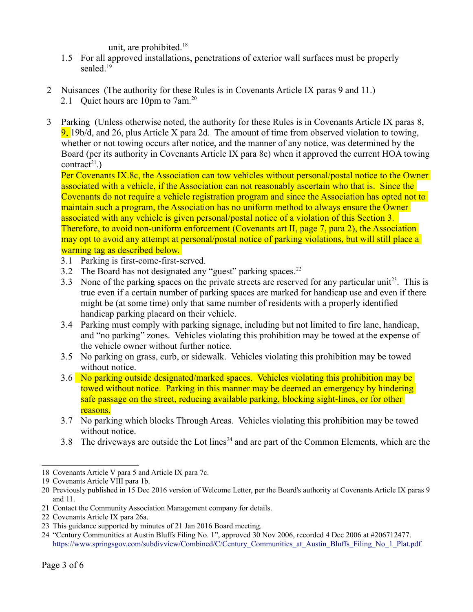unit, are prohibited.<sup>[18](#page-2-0)</sup>

- 1.5 For all approved installations, penetrations of exterior wall surfaces must be properly sealed.<sup>[19](#page-2-1)</sup>
- 2 Nuisances (The authority for these Rules is in Covenants Article IX paras 9 and 11.) 2.1 Quiet hours are 10pm to 7am.<sup>[20](#page-2-2)</sup>
- 3 Parking (Unless otherwise noted, the authority for these Rules is in Covenants Article IX paras 8, 9, 19b/d, and 26, plus Article X para 2d. The amount of time from observed violation to towing, whether or not towing occurs after notice, and the manner of any notice, was determined by the Board (per its authority in Covenants Article IX para 8c) when it approved the current HOA towing contract<sup>[21](#page-2-3)</sup>.)

Per Covenants IX.8c, the Association can tow vehicles without personal/postal notice to the Owner associated with a vehicle, if the Association can not reasonably ascertain who that is. Since the Covenants do not require a vehicle registration program and since the Association has opted not to maintain such a program, the Association has no uniform method to always ensure the Owner associated with any vehicle is given personal/postal notice of a violation of this Section 3. Therefore, to avoid non-uniform enforcement (Covenants art II, page 7, para 2), the Association may opt to avoid any attempt at personal/postal notice of parking violations, but will still place a warning tag as described below.

- 3.1 Parking is first-come-first-served.
- 3.2 The Board has not designated any "guest" parking spaces.<sup>[22](#page-2-4)</sup>
- 3.3 None of the parking spaces on the private streets are reserved for any particular unit<sup>[23](#page-2-5)</sup>. This is true even if a certain number of parking spaces are marked for handicap use and even if there might be (at some time) only that same number of residents with a properly identified handicap parking placard on their vehicle.
- 3.4 Parking must comply with parking signage, including but not limited to fire lane, handicap, and "no parking" zones. Vehicles violating this prohibition may be towed at the expense of the vehicle owner without further notice.
- 3.5 No parking on grass, curb, or sidewalk. Vehicles violating this prohibition may be towed without notice.
- 3.6 No parking outside designated/marked spaces. Vehicles violating this prohibition may be towed without notice. Parking in this manner may be deemed an emergency by hindering safe passage on the street, reducing available parking, blocking sight-lines, or for other reasons.
- 3.7 No parking which blocks Through Areas. Vehicles violating this prohibition may be towed without notice.
- 3.8 The driveways are outside the Lot lines<sup>[24](#page-2-6)</sup> and are part of the Common Elements, which are the

<span id="page-2-0"></span><sup>18</sup> Covenants Article V para 5 and Article IX para 7c.

<span id="page-2-1"></span><sup>19</sup> Covenants Article VIII para 1b.

<span id="page-2-2"></span><sup>20</sup> Previously published in 15 Dec 2016 version of Welcome Letter, per the Board's authority at Covenants Article IX paras 9 and 11.

<span id="page-2-3"></span><sup>21</sup> Contact the Community Association Management company for details.

<span id="page-2-4"></span><sup>22</sup> Covenants Article IX para 26a.

<span id="page-2-5"></span><sup>23</sup> This guidance supported by minutes of 21 Jan 2016 Board meeting.

<span id="page-2-6"></span><sup>24</sup> "Century Communities at Austin Bluffs Filing No. 1", approved 30 Nov 2006, recorded 4 Dec 2006 at #206712477. [https://www.springsgov.com/subdivview/Combined/C/Century\\_Communities\\_at\\_Austin\\_Bluffs\\_Filing\\_No\\_1\\_Plat.pdf](https://www.springsgov.com/subdivview/Combined/C/Century_Communities_at_Austin_Bluffs_Filing_No_1_Plat.pdf)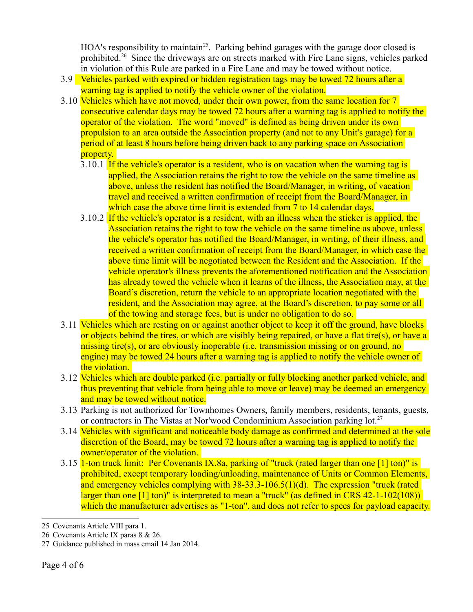HOA's responsibility to maintain<sup>[25](#page-3-0)</sup>. Parking behind garages with the garage door closed is prohibited.<sup>[26](#page-3-1)</sup> Since the driveways are on streets marked with Fire Lane signs, vehicles parked in violation of this Rule are parked in a Fire Lane and may be towed without notice.

- 3.9 Vehicles parked with expired or hidden registration tags may be towed 72 hours after a warning tag is applied to notify the vehicle owner of the violation.
- 3.10 Vehicles which have not moved, under their own power, from the same location for 7 consecutive calendar days may be towed 72 hours after a warning tag is applied to notify the operator of the violation. The word "moved" is defined as being driven under its own propulsion to an area outside the Association property (and not to any Unit's garage) for a period of at least 8 hours before being driven back to any parking space on Association property.
	- 3.10.1 If the vehicle's operator is a resident, who is on vacation when the warning tag is applied, the Association retains the right to tow the vehicle on the same timeline as above, unless the resident has notified the Board/Manager, in writing, of vacation travel and received a written confirmation of receipt from the Board/Manager, in which case the above time limit is extended from 7 to 14 calendar days.
	- 3.10.2 If the vehicle's operator is a resident, with an illness when the sticker is applied, the Association retains the right to tow the vehicle on the same timeline as above, unless the vehicle's operator has notified the Board/Manager, in writing, of their illness, and received a written confirmation of receipt from the Board/Manager, in which case the above time limit will be negotiated between the Resident and the Association. If the vehicle operator's illness prevents the aforementioned notification and the Association has already towed the vehicle when it learns of the illness, the Association may, at the Board's discretion, return the vehicle to an appropriate location negotiated with the resident, and the Association may agree, at the Board's discretion, to pay some or all of the towing and storage fees, but is under no obligation to do so.
- 3.11 Vehicles which are resting on or against another object to keep it off the ground, have blocks or objects behind the tires, or which are visibly being repaired, or have a flat tire(s), or have a missing tire(s), or are obviously inoperable (i.e. transmission missing or on ground, no engine) may be towed 24 hours after a warning tag is applied to notify the vehicle owner of the violation.
- 3.12 Vehicles which are double parked (i.e. partially or fully blocking another parked vehicle, and thus preventing that vehicle from being able to move or leave) may be deemed an emergency and may be towed without notice.
- 3.13 Parking is not authorized for Townhomes Owners, family members, residents, tenants, guests, or contractors in The Vistas at Nor'wood Condominium Association parking lot.<sup>[27](#page-3-2)</sup>
- 3.14 Vehicles with significant and noticeable body damage as confirmed and determined at the sole discretion of the Board, may be towed 72 hours after a warning tag is applied to notify the owner/operator of the violation.
- 3.15 1-ton truck limit: Per Covenants IX.8a, parking of "truck (rated larger than one [1] ton)" is prohibited, except temporary loading/unloading, maintenance of Units or Common Elements, and emergency vehicles complying with 38-33.3-106.5(1)(d). The expression "truck (rated larger than one [1] ton)" is interpreted to mean a "truck" (as defined in CRS 42-1-102(108)) which the manufacturer advertises as "1-ton", and does not refer to specs for payload capacity.

<span id="page-3-0"></span><sup>25</sup> Covenants Article VIII para 1.

<span id="page-3-1"></span><sup>26</sup> Covenants Article IX paras 8 & 26.

<span id="page-3-2"></span><sup>27</sup> Guidance published in mass email 14 Jan 2014.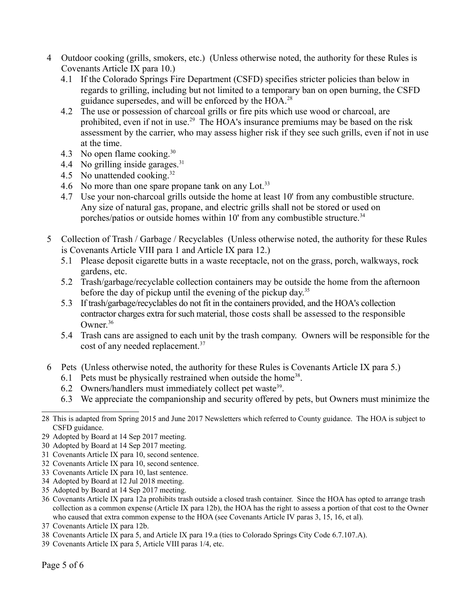- 4 Outdoor cooking (grills, smokers, etc.) (Unless otherwise noted, the authority for these Rules is Covenants Article IX para 10.)
	- 4.1 If the Colorado Springs Fire Department (CSFD) specifies stricter policies than below in regards to grilling, including but not limited to a temporary ban on open burning, the CSFD guidance supersedes, and will be enforced by the HOA.[28](#page-4-0)
	- 4.2 The use or possession of charcoal grills or fire pits which use wood or charcoal, are prohibited, even if not in use.<sup>[29](#page-4-1)</sup> The HOA's insurance premiums may be based on the risk assessment by the carrier, who may assess higher risk if they see such grills, even if not in use at the time.
	- 4.3 No open flame cooking.[30](#page-4-2)
	- 4.4 No grilling inside garages. $31$
	- 4.5 No unattended cooking.<sup>[32](#page-4-4)</sup>
	- 4.6 No more than one spare propane tank on any Lot.<sup>[33](#page-4-5)</sup>
	- 4.7 Use your non-charcoal grills outside the home at least 10' from any combustible structure. Any size of natural gas, propane, and electric grills shall not be stored or used on porches/patios or outside homes within  $10'$  from any combustible structure.<sup>[34](#page-4-6)</sup>
- 5 Collection of Trash / Garbage / Recyclables (Unless otherwise noted, the authority for these Rules is Covenants Article VIII para 1 and Article IX para 12.)
	- 5.1 Please deposit cigarette butts in a waste receptacle, not on the grass, porch, walkways, rock gardens, etc.
	- 5.2 Trash/garbage/recyclable collection containers may be outside the home from the afternoon before the day of pickup until the evening of the pickup day.<sup>[35](#page-4-7)</sup>
	- 5.3 If trash/garbage/recyclables do not fit in the containers provided, and the HOA's collection contractor charges extra for such material, those costs shall be assessed to the responsible Owner. $36$
	- 5.4 Trash cans are assigned to each unit by the trash company. Owners will be responsible for the cost of any needed replacement.<sup>[37](#page-4-9)</sup>
- 6 Pets (Unless otherwise noted, the authority for these Rules is Covenants Article IX para 5.)
	- 6.1 Pets must be physically restrained when outside the home<sup>[38](#page-4-10)</sup>.
	- 6.2 Owners/handlers must immediately collect pet waste<sup>[39](#page-4-11)</sup>.
	- 6.3 We appreciate the companionship and security offered by pets, but Owners must minimize the

- <span id="page-4-2"></span>30 Adopted by Board at 14 Sep 2017 meeting.
- <span id="page-4-3"></span>31 Covenants Article IX para 10, second sentence.
- <span id="page-4-4"></span>32 Covenants Article IX para 10, second sentence.
- <span id="page-4-5"></span>33 Covenants Article IX para 10, last sentence.
- <span id="page-4-6"></span>34 Adopted by Board at 12 Jul 2018 meeting.
- <span id="page-4-7"></span>35 Adopted by Board at 14 Sep 2017 meeting.
- <span id="page-4-8"></span>36 Covenants Article IX para 12a prohibits trash outside a closed trash container. Since the HOA has opted to arrange trash collection as a common expense (Article IX para 12b), the HOA has the right to assess a portion of that cost to the Owner who caused that extra common expense to the HOA (see Covenants Article IV paras 3, 15, 16, et al).
- <span id="page-4-9"></span>37 Covenants Article IX para 12b.
- <span id="page-4-10"></span>38 Covenants Article IX para 5, and Article IX para 19.a (ties to Colorado Springs City Code 6.7.107.A).
- <span id="page-4-11"></span>39 Covenants Article IX para 5, Article VIII paras 1/4, etc.

<span id="page-4-0"></span><sup>28</sup> This is adapted from Spring 2015 and June 2017 Newsletters which referred to County guidance. The HOA is subject to CSFD guidance.

<span id="page-4-1"></span><sup>29</sup> Adopted by Board at 14 Sep 2017 meeting.